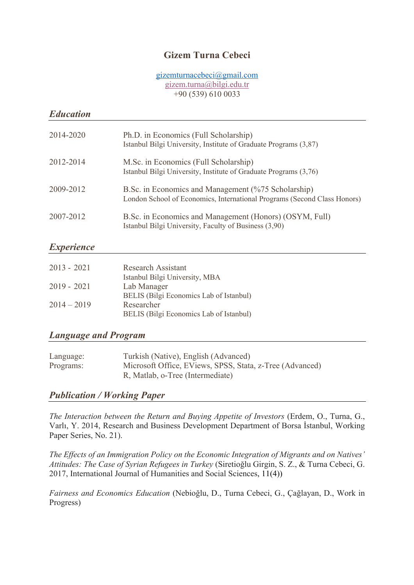# **Gizem Turna Cebeci**

#### gizemturnacebeci@gmail.com gizem.turna@bilgi.edu.tr +90 (539) 610 0033

#### *Education*

| 2014-2020 | Ph.D. in Economics (Full Scholarship)<br>Istanbul Bilgi University, Institute of Graduate Programs (3,87)                       |
|-----------|---------------------------------------------------------------------------------------------------------------------------------|
| 2012-2014 | M.Sc. in Economics (Full Scholarship)<br>Istanbul Bilgi University, Institute of Graduate Programs (3,76)                       |
| 2009-2012 | B.Sc. in Economics and Management (%75 Scholarship)<br>London School of Economics, International Programs (Second Class Honors) |
| 2007-2012 | B.Sc. in Economics and Management (Honors) (OSYM, Full)<br>Istanbul Bilgi University, Faculty of Business (3,90)                |

## *Experience*

| $2013 - 2021$ | <b>Research Assistant</b>               |
|---------------|-----------------------------------------|
|               | Istanbul Bilgi University, MBA          |
| $2019 - 2021$ | Lab Manager                             |
|               | BELIS (Bilgi Economics Lab of Istanbul) |
| $2014 - 2019$ | Researcher                              |
|               | BELIS (Bilgi Economics Lab of Istanbul) |

### *Language and Program*

| Language: | Turkish (Native), English (Advanced)                     |
|-----------|----------------------------------------------------------|
| Programs: | Microsoft Office, EViews, SPSS, Stata, z-Tree (Advanced) |
|           | R, Matlab, o-Tree (Intermediate)                         |

### *Publication / Working Paper*

*The Interaction between the Return and Buying Appetite of Investors* (Erdem, O., Turna, G., Varlı, Y. 2014, Research and Business Development Department of Borsa İstanbul, Working Paper Series, No. 21).

*The Effects of an Immigration Policy on the Economic Integration of Migrants and on Natives' Attitudes: The Case of Syrian Refugees in Turkey* (Siretioğlu Girgin, S. Z., & Turna Cebeci, G. 2017, International Journal of Humanities and Social Sciences, 11(4))

*Fairness and Economics Education* (Nebioğlu, D., Turna Cebeci, G., Çağlayan, D., Work in Progress)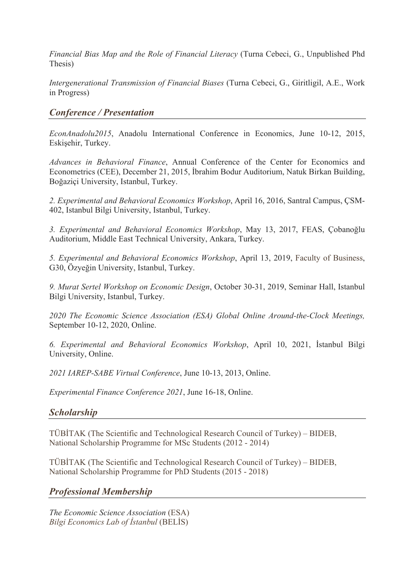*Financial Bias Map and the Role of Financial Literacy* (Turna Cebeci, G., Unpublished Phd Thesis)

*Intergenerational Transmission of Financial Biases* (Turna Cebeci, G., Giritligil, A.E., Work in Progress)

### *Conference / Presentation*

*EconAnadolu2015*, Anadolu International Conference in Economics, June 10-12, 2015, Eskişehir, Turkey.

*Advances in Behavioral Finance*, Annual Conference of the Center for Economics and Econometrics (CEE), December 21, 2015, İbrahim Bodur Auditorium, Natuk Birkan Building, Boğaziçi University, Istanbul, Turkey.

*2. Experimental and Behavioral Economics Workshop*, April 16, 2016, Santral Campus, ÇSM-402, Istanbul Bilgi University, Istanbul, Turkey.

*3. Experimental and Behavioral Economics Workshop*, May 13, 2017, FEAS, Çobanoğlu Auditorium, Middle East Technical University, Ankara, Turkey.

*5. Experimental and Behavioral Economics Workshop*, April 13, 2019, Faculty of Business, G30, Özyeğin University, Istanbul, Turkey.

*9. Murat Sertel Workshop on Economic Design*, October 30-31, 2019, Seminar Hall, Istanbul Bilgi University, Istanbul, Turkey.

*2020 The Economic Science Association (ESA) Global Online Around-the-Clock Meetings,*  September 10-12, 2020, Online.

*6. Experimental and Behavioral Economics Workshop*, April 10, 2021, İstanbul Bilgi University, Online.

*2021 IAREP-SABE Virtual Conference*, June 10-13, 2013, Online.

*Experimental Finance Conference 2021*, June 16-18, Online.

### *Scholarship*

TÜBİTAK (The Scientific and Technological Research Council of Turkey) – BIDEB, National Scholarship Programme for MSc Students (2012 - 2014)

TÜBİTAK (The Scientific and Technological Research Council of Turkey) – BIDEB, National Scholarship Programme for PhD Students (2015 - 2018)

### *Professional Membership*

*The Economic Science Association* (ESA) *Bilgi Economics Lab of İstanbul* (BELİS)